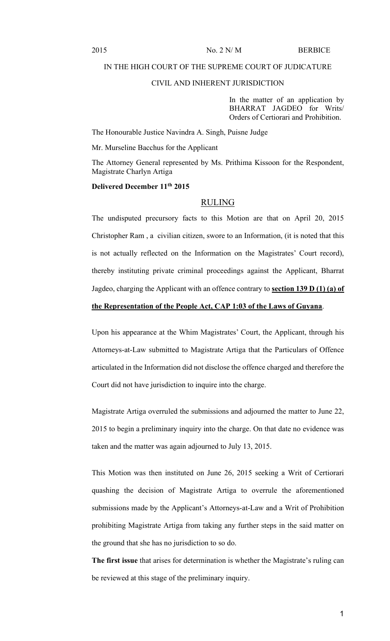2015 No. 2 N/ M BERBICE

### IN THE HIGH COURT OF THE SUPREME COURT OF JUDICATURE

#### CIVIL AND INHERENT JURISDICTION

In the matter of an application by BHARRAT JAGDEO for Writs/ Orders of Certiorari and Prohibition.

The Honourable Justice Navindra A. Singh, Puisne Judge

Mr. Murseline Bacchus for the Applicant

The Attorney General represented by Ms. Prithima Kissoon for the Respondent, Magistrate Charlyn Artiga

### **Delivered December 11th 2015**

### RULING

The undisputed precursory facts to this Motion are that on April 20, 2015 Christopher Ram , a civilian citizen, swore to an Information, (it is noted that this is not actually reflected on the Information on the Magistrates' Court record), thereby instituting private criminal proceedings against the Applicant, Bharrat Jagdeo, charging the Applicant with an offence contrary to **section 139 D (1) (a) of the Representation of the People Act, CAP 1:03 of the Laws of Guyana**.

Upon his appearance at the Whim Magistrates' Court, the Applicant, through his Attorneys-at-Law submitted to Magistrate Artiga that the Particulars of Offence articulated in the Information did not disclose the offence charged and therefore the Court did not have jurisdiction to inquire into the charge.

Magistrate Artiga overruled the submissions and adjourned the matter to June 22, 2015 to begin a preliminary inquiry into the charge. On that date no evidence was taken and the matter was again adjourned to July 13, 2015.

This Motion was then instituted on June 26, 2015 seeking a Writ of Certiorari quashing the decision of Magistrate Artiga to overrule the aforementioned submissions made by the Applicant's Attorneys-at-Law and a Writ of Prohibition prohibiting Magistrate Artiga from taking any further steps in the said matter on the ground that she has no jurisdiction to so do.

**The first issue** that arises for determination is whether the Magistrate's ruling can be reviewed at this stage of the preliminary inquiry.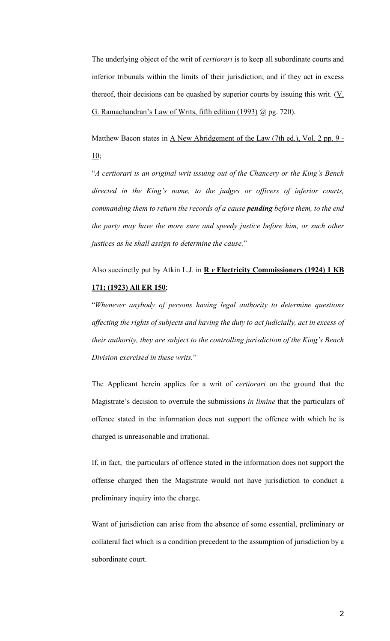The underlying object of the writ of *certiorari* is to keep all subordinate courts and inferior tribunals within the limits of their jurisdiction; and if they act in excess thereof, their decisions can be quashed by superior courts by issuing this writ. (V. G. Ramachandran's Law of Writs, fifth edition (1993) @ pg. 720).

Matthew Bacon states in A New Abridgement of the Law (7th ed.), Vol. 2 pp. 9 - 10;

"*A certiorari is an original writ issuing out of the Chancery or the King's Bench directed in the King's name, to the judges or officers of inferior courts, commanding them to return the records of a cause pending before them, to the end the party may have the more sure and speedy justice before him, or such other justices as he shall assign to determine the cause.*"

# Also succinctly put by Atkin L.J. in **R** *v* **Electricity Commissioners (1924) 1 KB 171; (1923) All ER 150**;

"*Whenever anybody of persons having legal authority to determine questions affecting the rights of subjects and having the duty to act judicially, act in excess of their authority, they are subject to the controlling jurisdiction of the King's Bench Division exercised in these writs.*"

The Applicant herein applies for a writ of *certiorari* on the ground that the Magistrate's decision to overrule the submissions *in limine* that the particulars of offence stated in the information does not support the offence with which he is charged is unreasonable and irrational.

If, in fact, the particulars of offence stated in the information does not support the offense charged then the Magistrate would not have jurisdiction to conduct a preliminary inquiry into the charge.

Want of jurisdiction can arise from the absence of some essential, preliminary or collateral fact which is a condition precedent to the assumption of jurisdiction by a subordinate court.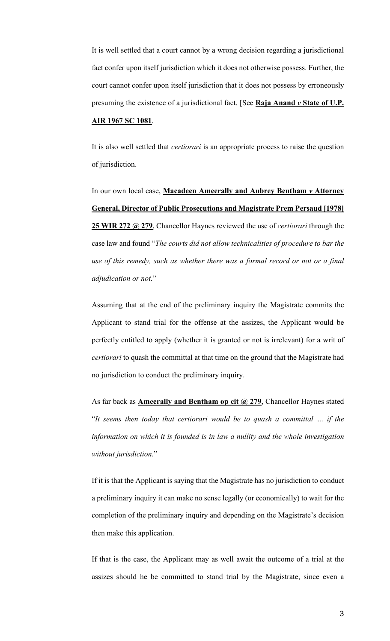It is well settled that a court cannot by a wrong decision regarding a jurisdictional fact confer upon itself jurisdiction which it does not otherwise possess. Further, the court cannot confer upon itself jurisdiction that it does not possess by erroneously presuming the existence of a jurisdictional fact. [See **Raja Anand** *v* **State of U.P.**

## **AIR 1967 SC 1081**.

It is also well settled that *certiorari* is an appropriate process to raise the question of jurisdiction.

In our own local case, **Macadeen Ameerally and Aubrey Bentham** *v* **Attorney General, Director of Public Prosecutions and Magistrate Prem Persaud [1978] 25 WIR 272 @ 279**, Chancellor Haynes reviewed the use of *certiorari* through the case law and found "*The courts did not allow technicalities of procedure to bar the use of this remedy, such as whether there was a formal record or not or a final adjudication or not.*"

Assuming that at the end of the preliminary inquiry the Magistrate commits the Applicant to stand trial for the offense at the assizes, the Applicant would be perfectly entitled to apply (whether it is granted or not is irrelevant) for a writ of *certiorari* to quash the committal at that time on the ground that the Magistrate had no jurisdiction to conduct the preliminary inquiry.

As far back as **Ameerally and Bentham op cit @ 279**, Chancellor Haynes stated "*It seems then today that certiorari would be to quash a committal … if the information on which it is founded is in law a nullity and the whole investigation without jurisdiction.*"

If it is that the Applicant is saying that the Magistrate has no jurisdiction to conduct a preliminary inquiry it can make no sense legally (or economically) to wait for the completion of the preliminary inquiry and depending on the Magistrate's decision then make this application.

If that is the case, the Applicant may as well await the outcome of a trial at the assizes should he be committed to stand trial by the Magistrate, since even a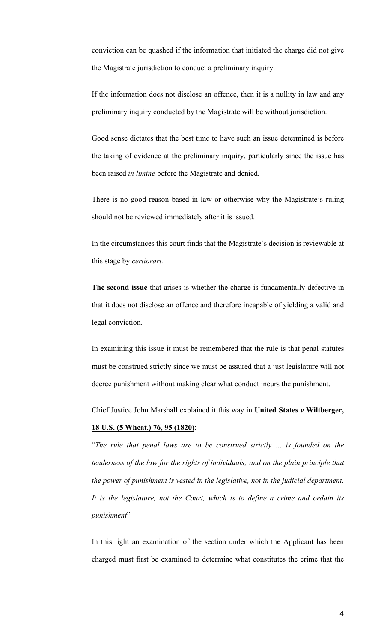conviction can be quashed if the information that initiated the charge did not give the Magistrate jurisdiction to conduct a preliminary inquiry.

If the information does not disclose an offence, then it is a nullity in law and any preliminary inquiry conducted by the Magistrate will be without jurisdiction.

Good sense dictates that the best time to have such an issue determined is before the taking of evidence at the preliminary inquiry, particularly since the issue has been raised *in limine* before the Magistrate and denied.

There is no good reason based in law or otherwise why the Magistrate's ruling should not be reviewed immediately after it is issued.

In the circumstances this court finds that the Magistrate's decision is reviewable at this stage by *certiorari.*

**The second issue** that arises is whether the charge is fundamentally defective in that it does not disclose an offence and therefore incapable of yielding a valid and legal conviction.

In examining this issue it must be remembered that the rule is that penal statutes must be construed strictly since we must be assured that a just legislature will not decree punishment without making clear what conduct incurs the punishment.

Chief Justice John Marshall explained it this way in **United States** *v* **Wiltberger,**

## **18 U.S. (5 Wheat.) 76, 95 (1820)**:

"*The rule that penal laws are to be construed strictly … is founded on the tenderness of the law for the rights of individuals; and on the plain principle that the power of punishment is vested in the legislative, not in the judicial department. It is the legislature, not the Court, which is to define a crime and ordain its punishment*"

In this light an examination of the section under which the Applicant has been charged must first be examined to determine what constitutes the crime that the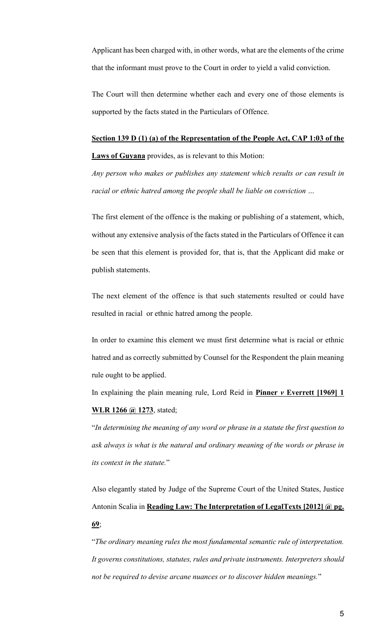Applicant has been charged with, in other words, what are the elements of the crime that the informant must prove to the Court in order to yield a valid conviction.

The Court will then determine whether each and every one of those elements is supported by the facts stated in the Particulars of Offence.

### **Section 139 D (1) (a) of the Representation of the People Act, CAP 1:03 of the**

**Laws of Guyana** provides, as is relevant to this Motion:

*Any person who makes or publishes any statement which results or can result in racial or ethnic hatred among the people shall be liable on conviction …*

The first element of the offence is the making or publishing of a statement, which, without any extensive analysis of the facts stated in the Particulars of Offence it can be seen that this element is provided for, that is, that the Applicant did make or publish statements.

The next element of the offence is that such statements resulted or could have resulted in racial or ethnic hatred among the people.

In order to examine this element we must first determine what is racial or ethnic hatred and as correctly submitted by Counsel for the Respondent the plain meaning rule ought to be applied.

In explaining the plain meaning rule, Lord Reid in **Pinner** *v* **Everrett [1969] 1 WLR 1266 @ 1273**, stated;

"*In determining the meaning of any word or phrase in a statute the first question to ask always is what is the natural and ordinary meaning of the words or phrase in its context in the statute.*"

Also elegantly stated by Judge of the Supreme Court of the United States, Justice Antonin Scalia in **Reading Law: The Interpretation of LegalTexts [2012] @ pg. 69**;

"*The ordinary meaning rules the most fundamental semantic rule of interpretation. It governs constitutions, statutes, rules and private instruments. Interpreters should not be required to devise arcane nuances or to discover hidden meanings.*"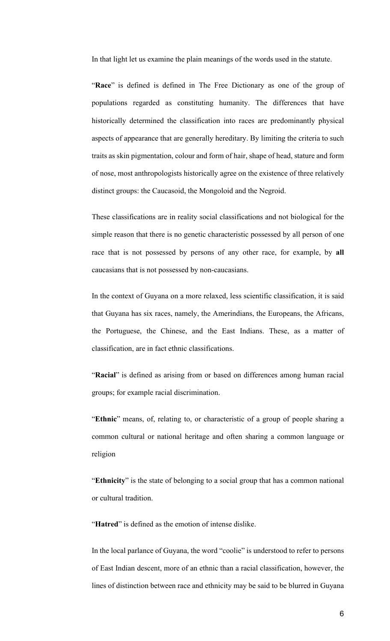In that light let us examine the plain meanings of the words used in the statute.

"Race" is defined is defined in The Free Dictionary as one of the group of populations regarded as constituting humanity. The differences that have historically determined the classification into races are predominantly physical aspects of appearance that are generally hereditary. By limiting the criteria to such traits as skin pigmentation, colour and form of hair, shape of head, stature and form of nose, most anthropologists historically agree on the existence of three relatively distinct groups: the Caucasoid, the Mongoloid and the Negroid.

These classifications are in reality social classifications and not biological for the simple reason that there is no genetic characteristic possessed by all person of one race that is not possessed by persons of any other race, for example, by **all** caucasians that is not possessed by non-caucasians.

In the context of Guyana on a more relaxed, less scientific classification, it is said that Guyana has six races, namely, the Amerindians, the Europeans, the Africans, the Portuguese, the Chinese, and the East Indians. These, as a matter of classification, are in fact ethnic classifications.

"Racial" is defined as arising from or based on differences among human racial groups; for example racial discrimination.

"**Ethnic**" means, of, relating to, or characteristic of a group of people sharing a common cultural or national heritage and often sharing a common language or religion

"**Ethnicity**" is the state of belonging to a social group that has a common national or cultural tradition.

"**Hatred**" is defined as the emotion of intense dislike.

In the local parlance of Guyana, the word "coolie" is understood to refer to persons of East Indian descent, more of an ethnic than a racial classification, however, the lines of distinction between race and ethnicity may be said to be blurred in Guyana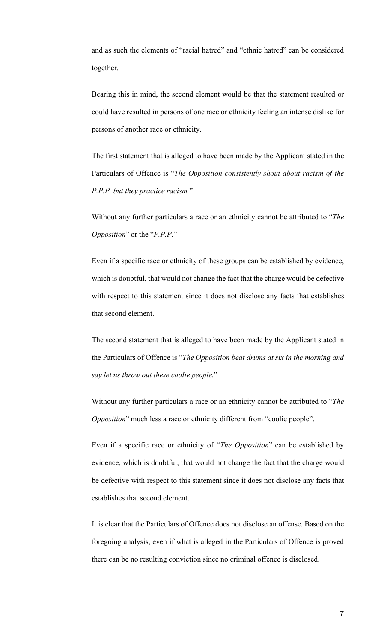and as such the elements of "racial hatred" and "ethnic hatred" can be considered together.

Bearing this in mind, the second element would be that the statement resulted or could have resulted in persons of one race or ethnicity feeling an intense dislike for persons of another race or ethnicity.

The first statement that is alleged to have been made by the Applicant stated in the Particulars of Offence is "*The Opposition consistently shout about racism of the P.P.P. but they practice racism.*"

Without any further particulars a race or an ethnicity cannot be attributed to "*The Opposition*" or the "*P.P.P.*"

Even if a specific race or ethnicity of these groups can be established by evidence, which is doubtful, that would not change the fact that the charge would be defective with respect to this statement since it does not disclose any facts that establishes that second element.

The second statement that is alleged to have been made by the Applicant stated in the Particulars of Offence is "*The Opposition beat drums at six in the morning and say let us throw out these coolie people.*"

Without any further particulars a race or an ethnicity cannot be attributed to "*The Opposition*" much less a race or ethnicity different from "coolie people".

Even if a specific race or ethnicity of "*The Opposition*" can be established by evidence, which is doubtful, that would not change the fact that the charge would be defective with respect to this statement since it does not disclose any facts that establishes that second element.

It is clear that the Particulars of Offence does not disclose an offense. Based on the foregoing analysis, even if what is alleged in the Particulars of Offence is proved there can be no resulting conviction since no criminal offence is disclosed.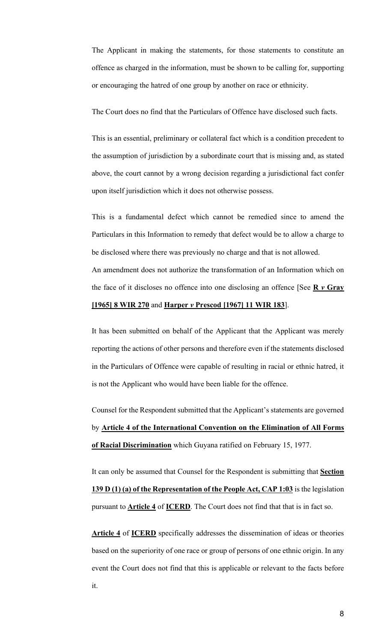The Applicant in making the statements, for those statements to constitute an offence as charged in the information, must be shown to be calling for, supporting or encouraging the hatred of one group by another on race or ethnicity.

The Court does no find that the Particulars of Offence have disclosed such facts.

This is an essential, preliminary or collateral fact which is a condition precedent to the assumption of jurisdiction by a subordinate court that is missing and, as stated above, the court cannot by a wrong decision regarding a jurisdictional fact confer upon itself jurisdiction which it does not otherwise possess.

This is a fundamental defect which cannot be remedied since to amend the Particulars in this Information to remedy that defect would be to allow a charge to be disclosed where there was previously no charge and that is not allowed. An amendment does not authorize the transformation of an Information which on the face of it discloses no offence into one disclosing an offence [See **R** *v* **Gray**

### **[1965] 8 WIR 270** and **Harper** *v* **Prescod [1967] 11 WIR 183**].

It has been submitted on behalf of the Applicant that the Applicant was merely reporting the actions of other persons and therefore even if the statements disclosed in the Particulars of Offence were capable of resulting in racial or ethnic hatred, it is not the Applicant who would have been liable for the offence.

Counsel for the Respondent submitted that the Applicant's statements are governed by **Article 4 of the International Convention on the Elimination of All Forms of Racial Discrimination** which Guyana ratified on February 15, 1977.

It can only be assumed that Counsel for the Respondent is submitting that **Section 139 D (1) (a) of the Representation of the People Act, CAP 1:03** is the legislation pursuant to **Article 4** of **ICERD**. The Court does not find that that is in fact so.

**Article 4** of **ICERD** specifically addresses the dissemination of ideas or theories based on the superiority of one race or group of persons of one ethnic origin. In any event the Court does not find that this is applicable or relevant to the facts before it.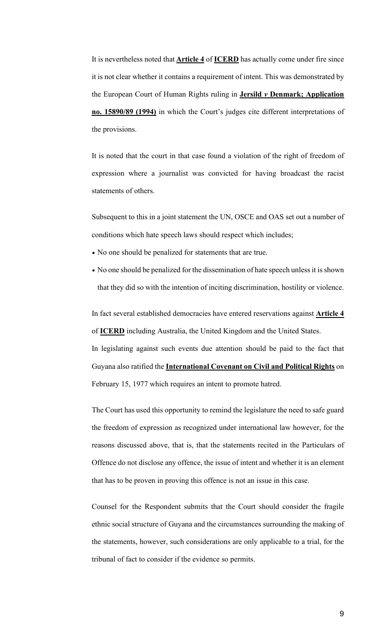It is nevertheless noted that **Article 4** of **ICERD** has actually come under fire since it is not clear whether it contains a requirement of intent. This was demonstrated by the European Court of Human Rights ruling in **Jersild** *v* **Denmark; Application no. 15890/89 (1994)** in which the Court's judges cite different interpretations of the provisions.

It is noted that the court in that case found a violation of the right of freedom of expression where a journalist was convicted for having broadcast the racist statements of others.

Subsequent to this in a joint statement the UN, OSCE and OAS set out a number of conditions which hate speech laws should respect which includes;

- No one should be penalized for statements that are true.
- No one should be penalized for the dissemination of hate speech unless it is shown that they did so with the intention of inciting discrimination, hostility or violence.

In fact several established democracies have entered reservations against **Article 4** of **ICERD** including Australia, the United Kingdom and the United States.

In legislating against such events due attention should be paid to the fact that Guyana also ratified the **International Covenant on Civil and Political Rights** on February 15, 1977 which requires an intent to promote hatred.

The Court has used this opportunity to remind the legislature the need to safe guard the freedom of expression as recognized under international law however, for the reasons discussed above, that is, that the statements recited in the Particulars of Offence do not disclose any offence, the issue of intent and whether it is an element that has to be proven in proving this offence is not an issue in this case.

Counsel for the Respondent submits that the Court should consider the fragile ethnic social structure of Guyana and the circumstances surrounding the making of the statements, however, such considerations are only applicable to a trial, for the tribunal of fact to consider if the evidence so permits.